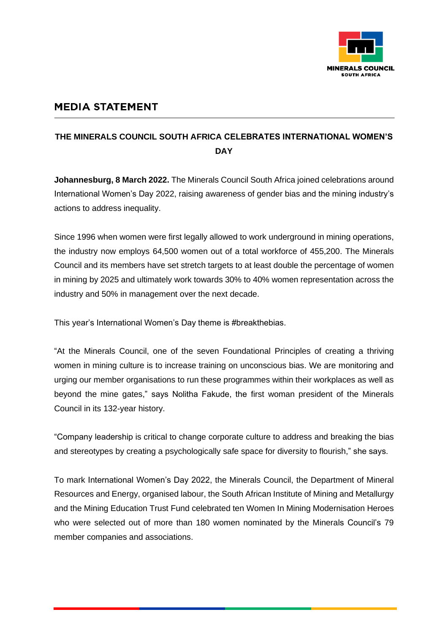

## **MEDIA STATEMENT**

## **THE MINERALS COUNCIL SOUTH AFRICA CELEBRATES INTERNATIONAL WOMEN'S DAY**

**Johannesburg, 8 March 2022.** The Minerals Council South Africa joined celebrations around International Women's Day 2022, raising awareness of gender bias and the mining industry's actions to address inequality.

Since 1996 when women were first legally allowed to work underground in mining operations, the industry now employs 64,500 women out of a total workforce of 455,200. The Minerals Council and its members have set stretch targets to at least double the percentage of women in mining by 2025 and ultimately work towards 30% to 40% women representation across the industry and 50% in management over the next decade.

This year's International Women's Day theme is #breakthebias.

"At the Minerals Council, one of the seven Foundational Principles of creating a thriving women in mining culture is to increase training on unconscious bias. We are monitoring and urging our member organisations to run these programmes within their workplaces as well as beyond the mine gates," says Nolitha Fakude, the first woman president of the Minerals Council in its 132-year history.

"Company leadership is critical to change corporate culture to address and breaking the bias and stereotypes by creating a psychologically safe space for diversity to flourish," she says.

To mark International Women's Day 2022, the Minerals Council, the Department of Mineral Resources and Energy, organised labour, the South African Institute of Mining and Metallurgy and the Mining Education Trust Fund celebrated ten Women In Mining Modernisation Heroes who were selected out of more than 180 women nominated by the Minerals Council's 79 member companies and associations.